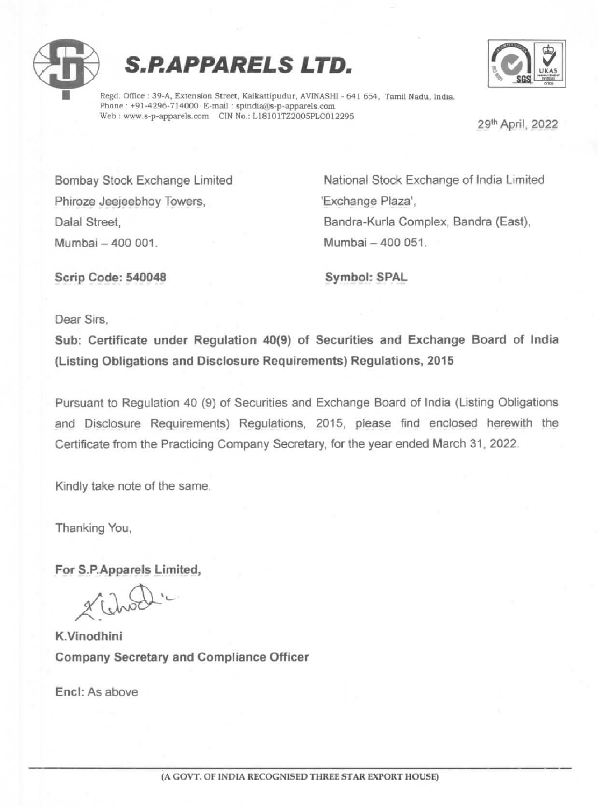





Regd. Office : 39-A, Extension Street, Kaikattipudur, AVINASHI - 641 654, Tamil Nadu, India.<br>Phone : +91-4296-714000 E-mail : spindia@s-p-apparels.com<br>Web : www.s-p-apparels.com CIN No.: L18101TZ2005PLC012295 29<sup>th</sup> April,

Phiroze Jeejeebhoy Towers, The Million Communication of Texchange Plaza', Mumbai -400 001. Mumbai -400 051.

Bombay Stock Exchange Limited National Stock Exchange of India Limited Dalal Street, **Bandra-Kurla Complex, Bandra (East)**,

Scrip Code: 540048 Symbol: SPAL

Dear Sirs,

Sub: Certificate under Regulation 40(9) of Securities and Exchange Board of India (Listing Obligations and Disclosure Requirements) Regulations, 2015

Pursuant to Regulation 40 (9) of Securities and Exchange Board of India (Listing Obligations and Disclosure Requirements) Regulations, 2015, please find enclosed herewith the Certificate from the Practicing Company Secretary, for the year ended March 31, 2022.

Kindly take note of the same.

Thanking You,

For S.P.Apparels Limited,

K.Vinodhini Company Secretary and Compliance Officer

Encl: As above